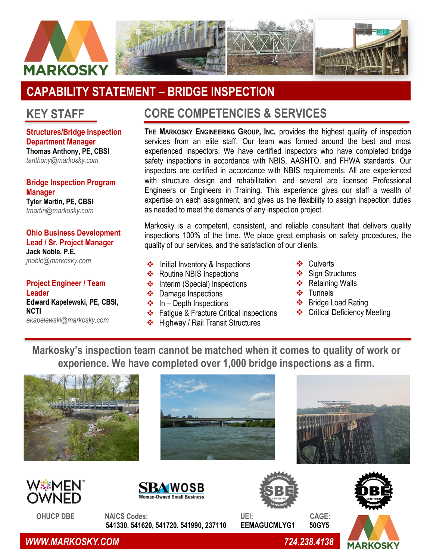

## **CAPABILITY STATEMENT – BRIDGE INSPECTION**

## **KEY STAFF**

**Structures/Bridge Inspection Department Manager Thomas Anthony, PE, CBSI** *[tanthony@markosky.com](mailto:tanthony@markosky.com)*

**Bridge Inspection Program Manager Tyler Martin, PE, CBSI** *[tmartin@markosky.com](mailto:tmartin@markosky.com)*

**Ohio Business Development Lead / Sr. Project Manager Jack Noble, P.E.** *[jnoble@markosky.com](mailto:jnoble@markosky.com)*

**Project Engineer / Team Leader Edward Kapelewski, PE, CBSI, NCTI**

*ekapelewski@markosky.com*

## **CORE COMPETENCIES & SERVICES**

**THE MARKOSKY ENGINEERING GROUP, INC.** provides the highest quality of inspection services from an elite staff. Our team was formed around the best and most experienced inspectors. We have certified inspectors who have completed bridge safety inspections in accordance with NBIS, AASHTO, and FHWA standards. Our inspectors are certified in accordance with NBIS requirements. All are experienced with structure design and rehabilitation, and several are licensed Professional Engineers or Engineers in Training. This experience gives our staff a wealth of expertise on each assignment, and gives us the flexibility to assign inspection duties as needed to meet the demands of any inspection project.

Markosky is a competent, consistent, and reliable consultant that delivers quality inspections 100% of the time. We place great emphasis on safety procedures, the quality of our services, and the satisfaction of our clients.

- ❖ Initial Inventory & Inspections **◆** Culverts
- ❖ Routine NBIS Inspections
- ❖ Interim (Special) Inspections
- ❖ Damage Inspections
- $\div$  In Depth Inspections
- ❖ Fatigue & Fracture Critical Inspections
- ❖ Highway / Rail Transit Structures
- ❖ Culverts
- ❖ Sign Structures
- ❖ Retaining Walls
- ❖ Tunnels
- ❖ Bridge Load Rating
- ❖ Critical Deficiency Meeting

**Markosky's inspection team cannot be matched when it comes to quality of work or experience. We have completed over 1,000 bridge inspections as a firm.**















**MARKOSK** 



 **OHUCP DBE NAICS Codes: UEI: CAGE: 541330. 541620, 541720. 541990, 237110 EEMAGUCMLYG1 50GY5**